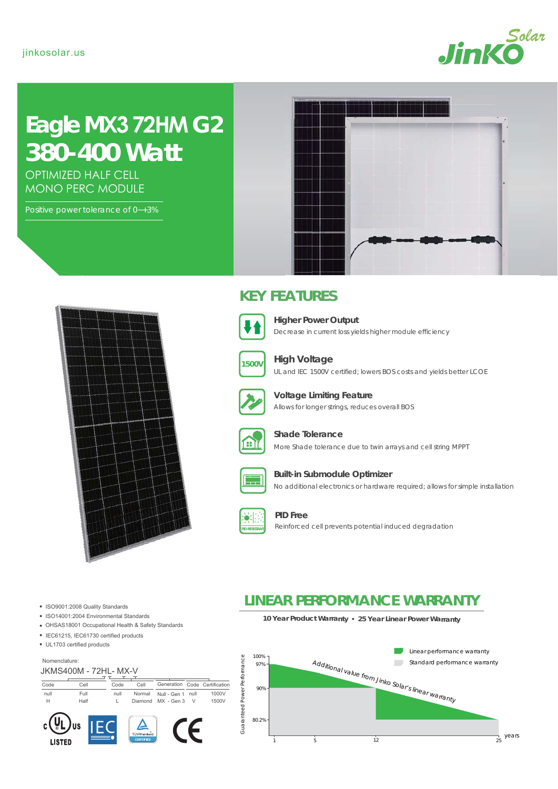

# **Eagle MX3 72HM G2**  *380-400 Watt*

OPTIMIZED HALF CELL MONO PERC MODULE

Positive power tolerance of 0~+3%



Nomenclature:

Code Cell null Full H Half

**LISTED** 

 $\sim$ 

**US** 

ISO9001:2008 Quality Standards • ISO14001:2004 Environmental Standards

OHSAS18001 Occupational Health & Safety Standards

# **KEY FEATURES**



Decrease in current loss yields higher module efficiency **Higher Power Output**



**High Voltage**

UL and IEC 1500V certified; lowers BOS costs and yields better LCOE



Allows for longer strings, reduces overall BOS **Voltage Limiting Feature**



**Shade Tolerance**

More Shade tolerance due to twin arrays and cell string MPPT



#### No additional electronics or hardware required; allows for simple installation **Built-in Submodule Optimizer**





**PID Free** Reinforced cell prevents potential induced degradation

# **LINEAR PERFORMANCE WARRANTY**

**10 Year Product Warranty 25 Year Linear Power Warranty**